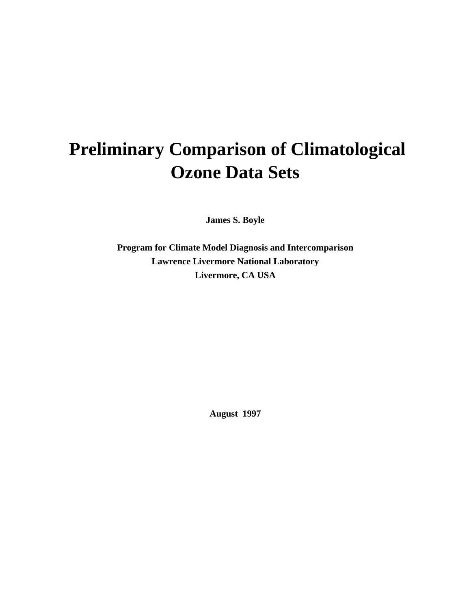# **Preliminary Comparison of Climatological Ozone Data Sets**

**James S. Boyle**

**Program for Climate Model Diagnosis and Intercomparison Lawrence Livermore National Laboratory Livermore, CA USA**

**August 1997**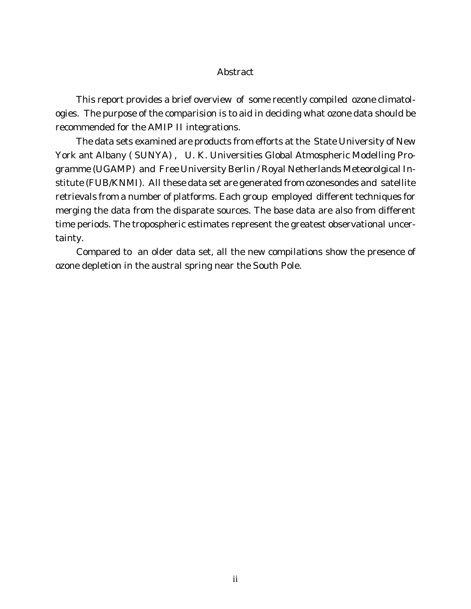## Abstract

This report provides a brief overview of some recently compiled ozone climatologies. The purpose of the comparision is to aid in deciding what ozone data should be recommended for the AMIP II integrations.

The data sets examined are products from efforts at the State University of New York ant Albany ( SUNYA) , U. K. Universities Global Atmospheric Modelling Programme (UGAMP) and Free University Berlin / Royal Netherlands Meteorolgical Institute (FUB/KNMI). All these data set are generated from ozonesondes and satellite retrievals from a number of platforms. Each group employed different techniques for merging the data from the disparate sources. The base data are also from different time periods. The tropospheric estimates represent the greatest observational uncertainty.

Compared to an older data set, all the new compilations show the presence of ozone depletion in the austral spring near the South Pole.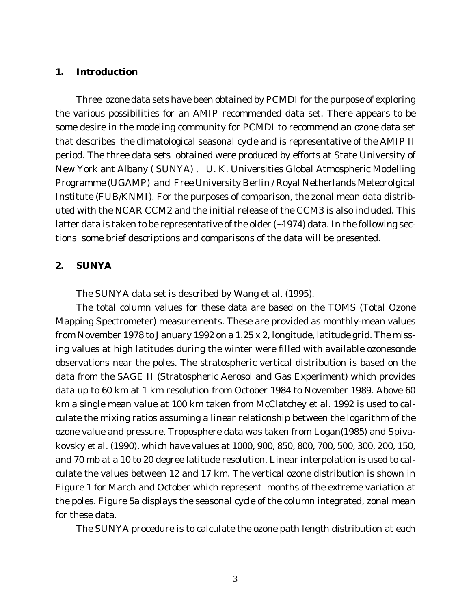## **1. Introduction**

Three ozone data sets have been obtained by PCMDI for the purpose of exploring the various possibilities for an AMIP recommended data set. There appears to be some desire in the modeling community for PCMDI to recommend an ozone data set that describes the climatological seasonal cycle and is representative of the AMIP II period. The three data sets obtained were produced by efforts at State University of New York ant Albany ( SUNYA) , U. K. Universities Global Atmospheric Modelling Programme (UGAMP) and Free University Berlin / Royal Netherlands Meteorolgical Institute (FUB/KNMI). For the purposes of comparison, the zonal mean data distributed with the NCAR CCM2 and the initial release of the CCM3 is also included. This latter data is taken to be representative of the older  $\sim$  1974) data. In the following sections some brief descriptions and comparisons of the data will be presented.

# **2. SUNYA**

The SUNYA data set is described by Wang et al. (1995).

The total column values for these data are based on the TOMS (Total Ozone Mapping Spectrometer) measurements. These are provided as monthly-mean values from November 1978 to January 1992 on a 1.25 x 2, longitude, latitude grid. The missing values at high latitudes during the winter were filled with available ozonesonde observations near the poles. The stratospheric vertical distribution is based on the data from the SAGE II (Stratospheric Aerosol and Gas Experiment) which provides data up to 60 km at 1 km resolution from October 1984 to November 1989. Above 60 km a single mean value at 100 km taken from McClatchey et al. 1992 is used to calculate the mixing ratios assuming a linear relationship between the logarithm of the ozone value and pressure. Troposphere data was taken from Logan(1985) and Spivakovsky et al. (1990), which have values at 1000, 900, 850, 800, 700, 500, 300, 200, 150, and 70 mb at a 10 to 20 degree latitude resolution. Linear interpolation is used to calculate the values between 12 and 17 km. The vertical ozone distribution is shown in Figure 1 for March and October which represent months of the extreme variation at the poles. Figure 5a displays the seasonal cycle of the column integrated, zonal mean for these data.

The SUNYA procedure is to calculate the ozone path length distribution at each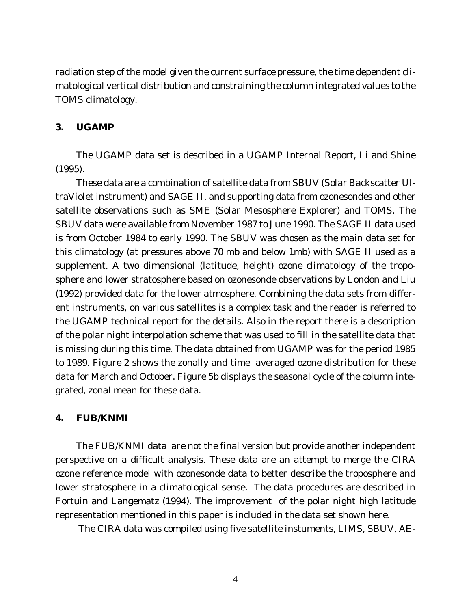radiation step of the model given the current surface pressure, the time dependent climatological vertical distribution and constraining the column integrated values to the TOMS climatology.

### **3. UGAMP**

The UGAMP data set is described in a UGAMP Internal Report, Li and Shine (1995).

These data are a combination of satellite data from SBUV (Solar Backscatter UltraViolet instrument) and SAGE II, and supporting data from ozonesondes and other satellite observations such as SME (Solar Mesosphere Explorer) and TOMS. The SBUV data were available from November 1987 to June 1990. The SAGE II data used is from October 1984 to early 1990. The SBUV was chosen as the main data set for this climatology (at pressures above 70 mb and below 1mb) with SAGE II used as a supplement. A two dimensional (latitude, height) ozone climatology of the troposphere and lower stratosphere based on ozonesonde observations by London and Liu (1992) provided data for the lower atmosphere. Combining the data sets from different instruments, on various satellites is a complex task and the reader is referred to the UGAMP technical report for the details. Also in the report there is a description of the polar night interpolation scheme that was used to fill in the satellite data that is missing during this time. The data obtained from UGAMP was for the period 1985 to 1989. Figure 2 shows the zonally and time averaged ozone distribution for these data for March and October. Figure 5b displays the seasonal cycle of the column integrated, zonal mean for these data.

#### **4. FUB/KNMI**

The FUB/KNMI data are not the final version but provide another independent perspective on a difficult analysis. These data are an attempt to merge the CIRA ozone reference model with ozonesonde data to better describe the troposphere and lower stratosphere in a climatological sense. The data procedures are described in Fortuin and Langematz (1994). The improvement of the polar night high latitude representation mentioned in this paper is included in the data set shown here.

The CIRA data was compiled using five satellite instuments, LIMS, SBUV, AE-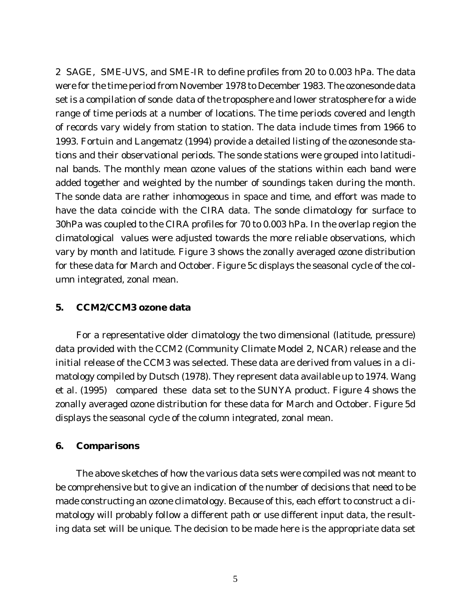2 SAGE, SME-UVS, and SME-IR to define profiles from 20 to 0.003 hPa. The data were for the time period from November 1978 to December 1983. The ozonesonde data set is a compilation of sonde data of the troposphere and lower stratosphere for a wide range of time periods at a number of locations. The time periods covered and length of records vary widely from station to station. The data include times from 1966 to 1993. Fortuin and Langematz (1994) provide a detailed listing of the ozonesonde stations and their observational periods. The sonde stations were grouped into latitudinal bands. The monthly mean ozone values of the stations within each band were added together and weighted by the number of soundings taken during the month. The sonde data are rather inhomogeous in space and time, and effort was made to have the data coincide with the CIRA data. The sonde climatology for surface to 30hPa was coupled to the CIRA profiles for 70 to 0.003 hPa. In the overlap region the climatological values were adjusted towards the more reliable observations, which vary by month and latitude. Figure 3 shows the zonally averaged ozone distribution for these data for March and October. Figure 5c displays the seasonal cycle of the column integrated, zonal mean.

#### **5. CCM2/CCM3 ozone data**

For a representative older climatology the two dimensional (latitude, pressure) data provided with the CCM2 (Community Climate Model 2, NCAR) release and the initial release of the CCM3 was selected. These data are derived from values in a climatology compiled by Dutsch (1978). They represent data available up to 1974. Wang et al. (1995) compared these data set to the SUNYA product. Figure 4 shows the zonally averaged ozone distribution for these data for March and October. Figure 5d displays the seasonal cycle of the column integrated, zonal mean.

#### **6. Comparisons**

The above sketches of how the various data sets were compiled was not meant to be comprehensive but to give an indication of the number of decisions that need to be made constructing an ozone climatology. Because of this, each effort to construct a climatology will probably follow a different path or use different input data, the resulting data set will be unique. The decision to be made here is the appropriate data set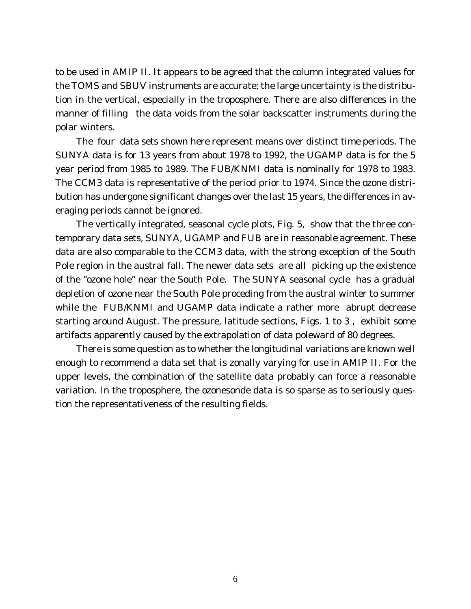to be used in AMIP II. It appears to be agreed that the column integrated values for the TOMS and SBUV instruments are accurate; the large uncertainty is the distribution in the vertical, especially in the troposphere. There are also differences in the manner of filling the data voids from the solar backscatter instruments during the polar winters.

The four data sets shown here represent means over distinct time periods. The SUNYA data is for 13 years from about 1978 to 1992, the UGAMP data is for the 5 year period from 1985 to 1989. The FUB/KNMI data is nominally for 1978 to 1983. The CCM3 data is representative of the period prior to 1974. Since the ozone distribution has undergone significant changes over the last 15 years, the differences in averaging periods cannot be ignored.

The vertically integrated, seasonal cycle plots, Fig. 5, show that the three contemporary data sets, SUNYA, UGAMP and FUB are in reasonable agreement. These data are also comparable to the CCM3 data, with the strong exception of the South Pole region in the austral fall. The newer data sets are all picking up the existence of the "ozone hole" near the South Pole. The SUNYA seasonal cycle has a gradual depletion of ozone near the South Pole proceding from the austral winter to summer while the FUB/KNMI and UGAMP data indicate a rather more abrupt decrease starting around August. The pressure, latitude sections, Figs. 1 to 3 , exhibit some artifacts apparently caused by the extrapolation of data poleward of 80 degrees.

There is some question as to whether the longitudinal variations are known well enough to recommend a data set that is zonally varying for use in AMIP II. For the upper levels, the combination of the satellite data probably can force a reasonable variation. In the troposphere, the ozonesonde data is so sparse as to seriously question the representativeness of the resulting fields.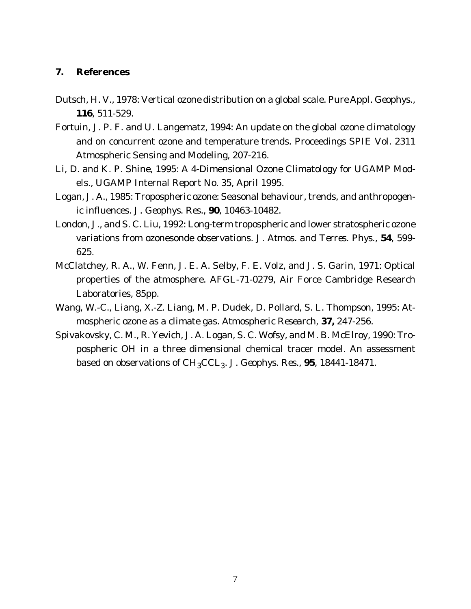# **7. References**

- Dutsch, H. V., 1978: Vertical ozone distribution on a global scale. *Pure Appl. Geophys*., **116**, 511-529.
- Fortuin, J. P. F. and U. Langematz, 1994: An update on the global ozone climatology and on concurrent ozone and temperature trends. Proceedings SPIE Vol. 2311 Atmospheric Sensing and Modeling, 207-216.
- Li, D. and K. P. Shine, 1995: A 4-Dimensional Ozone Climatology for UGAMP Models., UGAMP Internal Report No. 35, April 1995.
- Logan, J. A., 1985: Tropospheric ozone: Seasonal behaviour, trends, and anthropogenic influences. *J. Geophys. Res*., **90**, 10463-10482.
- London, J., and S. C. Liu, 1992: Long-term tropospheric and lower stratospheric ozone variations from ozonesonde observations. *J. Atmos. and Terres. Phys*., **54**, 599- 625.
- McClatchey, R. A., W. Fenn, J. E. A. Selby, F. E. Volz, and J. S. Garin, 1971: Optical properties of the atmosphere. AFGL-71-0279, Air Force Cambridge Research Laboratories, 85pp.
- Wang, W.-C., Liang, X.-Z. Liang, M. P. Dudek, D. Pollard, S. L. Thompson, 1995: Atmospheric ozone as a climate gas. *Atmospheric Research*, **37,** 247-256.
- Spivakovsky, C. M., R. Yevich, J. A. Logan, S. C. Wofsy, and M. B. McElroy, 1990: Tropospheric OH in a three dimensional chemical tracer model. An assessment based on observations of CH3CCL3. *J. Geophys. Res.*, **95**, 18441-18471.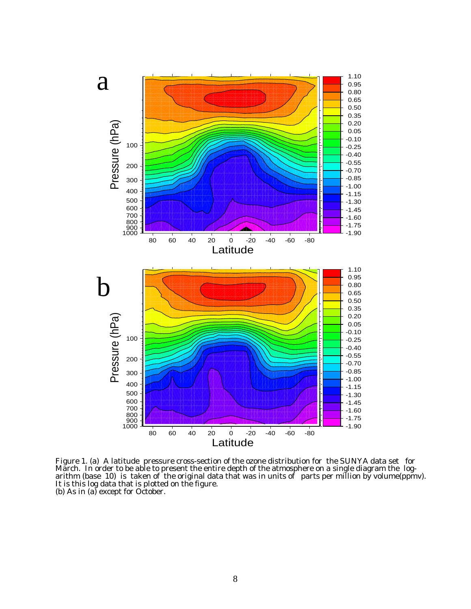

Figure 1. (a) A latitude pressure cross-section of the ozone distribution for the SUNYA data set for March. In order to be able to present the entire depth of the atmosphere on a single diagram the logarithm (base 10) is taken of the original data that was in units of parts per million by volume(ppmv). It is this log data that is plotted on the figure. (b) As in (a) except for October.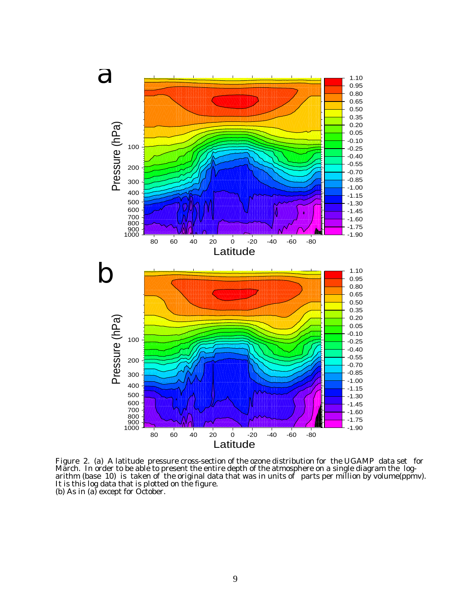

Figure 2. (a) A latitude pressure cross-section of the ozone distribution for the UGAMP data set for March. In order to be able to present the entire depth of the atmosphere on a single diagram the logarithm (base 10) is taken of the original data that was in units of parts per million by volume(ppmv). It is this log data that is plotted on the figure. (b) As in (a) except for October.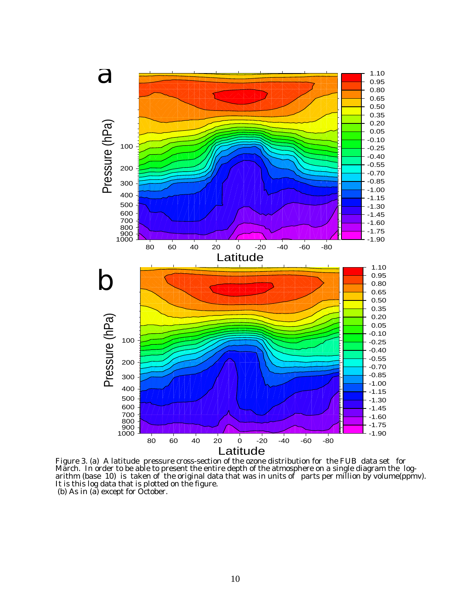

Figure 3. (a) A latitude pressure cross-section of the ozone distribution for the FUB data set for March. In order to be able to present the entire depth of the atmosphere on a single diagram the logarithm (base 10) is taken of the original data that was in units of parts per million by volume(ppmv). It is this log data that is plotted on the figure. (b) As in (a) except for October.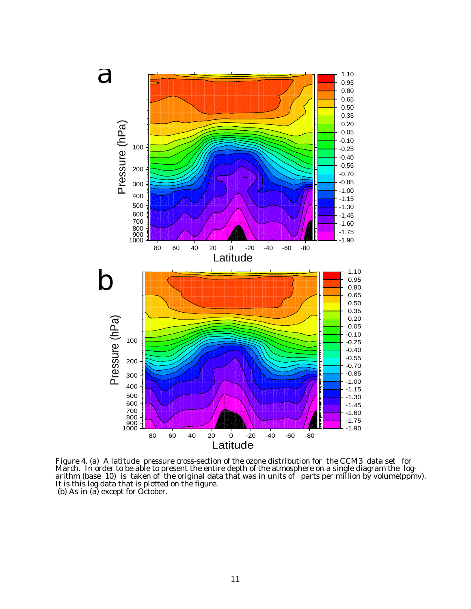

Figure 4. (a) A latitude pressure cross-section of the ozone distribution for the CCM3 data set for March. In order to be able to present the entire depth of the atmosphere on a single diagram the logarithm (base 10) is taken of the original data that was in units of parts per million by volume(ppmv). It is this log data that is plotted on the figure. (b) As in (a) except for October.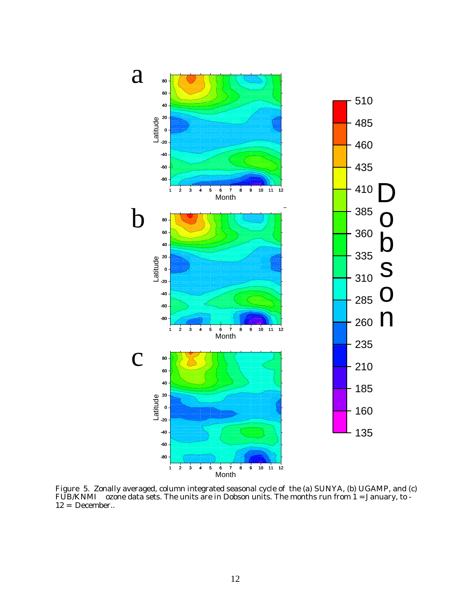

Figure 5. Zonally averaged, column integrated seasonal cycle of the (a) SUNYA, (b) UGAMP, and (c)  $\tt FUB/KNMI$   $\;$  ozone data sets. The units are in Dobson units. The months run from 1 = January, to -12 = December..